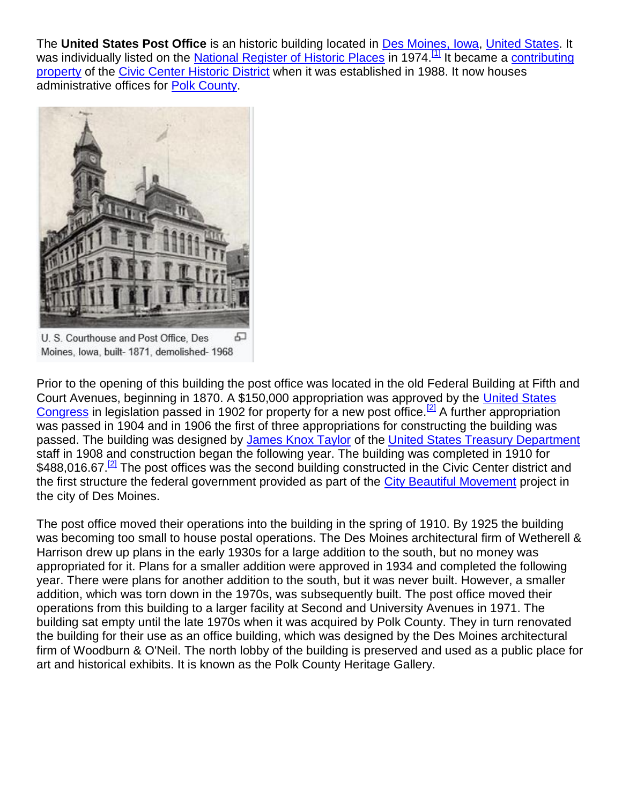The **United States Post Office** is an historic building located in [Des Moines, Iowa,](https://en.wikipedia.org/wiki/Des_Moines,_Iowa) [United States.](https://en.wikipedia.org/wiki/United_States) It was individually listed on the [National Register of Historic Places](https://en.wikipedia.org/wiki/National_Register_of_Historic_Places) in 1974.<sup>[\[1\]](https://en.wikipedia.org/wiki/United_States_Post_Office_(Des_Moines,_Iowa)#cite_note-nris-1)</sup> It became a contributing [property](https://en.wikipedia.org/wiki/Contributing_property) of the [Civic Center Historic District](https://en.wikipedia.org/wiki/Civic_Center_Historic_District_(Des_Moines,_Iowa)) when it was established in 1988. It now houses administrative offices for [Polk County.](https://en.wikipedia.org/wiki/Polk_County,_Iowa)



Moines, Iowa, built- 1871, demolished- 1968

Prior to the opening of this building the post office was located in the old Federal Building at Fifth and Court Avenues, beginning in 1870. A \$150,000 appropriation was approved by the [United States](https://en.wikipedia.org/wiki/United_States_Congress)  [Congress](https://en.wikipedia.org/wiki/United_States_Congress) in legislation passed in 1902 for property for a new post office.<sup>[\[2\]](https://en.wikipedia.org/wiki/United_States_Post_Office_(Des_Moines,_Iowa)#cite_note-NRHP-2)</sup> A further appropriation was passed in 1904 and in 1906 the first of three appropriations for constructing the building was passed. The building was designed by [James Knox Taylor](https://en.wikipedia.org/wiki/James_Knox_Taylor) of the [United States Treasury Department](https://en.wikipedia.org/wiki/United_States_Treasury_Department) staff in 1908 and construction began the following year. The building was completed in 1910 for \$488,016.67.<sup>[\[2\]](https://en.wikipedia.org/wiki/United_States_Post_Office_(Des_Moines,_Iowa)#cite_note-NRHP-2)</sup> The post offices was the second building constructed in the Civic Center district and the first structure the federal government provided as part of the [City Beautiful Movement](https://en.wikipedia.org/wiki/City_Beautiful_Movement) project in the city of Des Moines.

The post office moved their operations into the building in the spring of 1910. By 1925 the building was becoming too small to house postal operations. The Des Moines architectural firm of Wetherell & Harrison drew up plans in the early 1930s for a large addition to the south, but no money was appropriated for it. Plans for a smaller addition were approved in 1934 and completed the following year. There were plans for another addition to the south, but it was never built. However, a smaller addition, which was torn down in the 1970s, was subsequently built. The post office moved their operations from this building to a larger facility at Second and University Avenues in 1971. The building sat empty until the late 1970s when it was acquired by Polk County. They in turn renovated the building for their use as an office building, which was designed by the Des Moines architectural firm of Woodburn & O'Neil. The north lobby of the building is preserved and used as a public place for art and historical exhibits. It is known as the Polk County Heritage Gallery.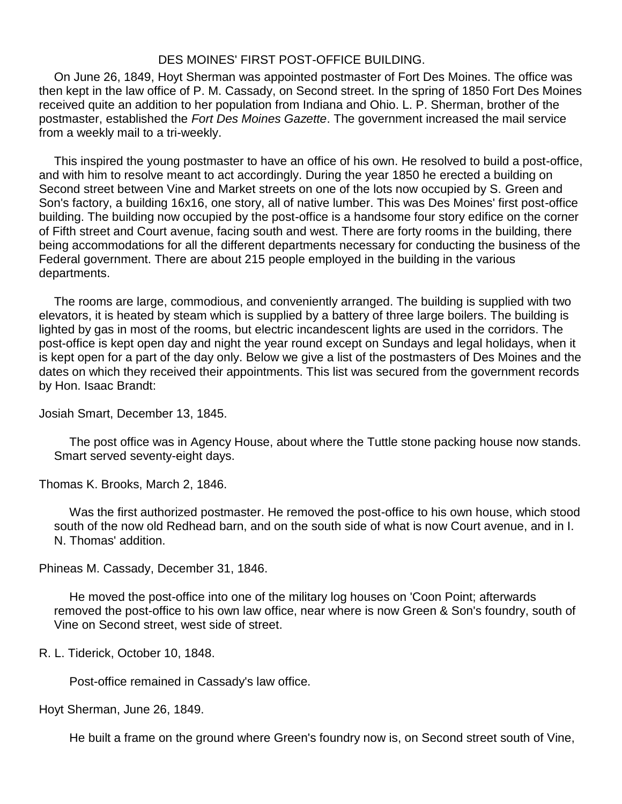## DES MOINES' FIRST POST-OFFICE BUILDING.

On June 26, 1849, Hoyt Sherman was appointed postmaster of Fort Des Moines. The office was then kept in the law office of P. M. Cassady, on Second street. In the spring of 1850 Fort Des Moines received quite an addition to her population from Indiana and Ohio. L. P. Sherman, brother of the postmaster, established the *Fort Des Moines Gazette*. The government increased the mail service from a weekly mail to a tri-weekly.

This inspired the young postmaster to have an office of his own. He resolved to build a post-office, and with him to resolve meant to act accordingly. During the year 1850 he erected a building on Second street between Vine and Market streets on one of the lots now occupied by S. Green and Son's factory, a building 16x16, one story, all of native lumber. This was Des Moines' first post-office building. The building now occupied by the post-office is a handsome four story edifice on the corner of Fifth street and Court avenue, facing south and west. There are forty rooms in the building, there being accommodations for all the different departments necessary for conducting the business of the Federal government. There are about 215 people employed in the building in the various departments.

The rooms are large, commodious, and conveniently arranged. The building is supplied with two elevators, it is heated by steam which is supplied by a battery of three large boilers. The building is lighted by gas in most of the rooms, but electric incandescent lights are used in the corridors. The post-office is kept open day and night the year round except on Sundays and legal holidays, when it is kept open for a part of the day only. Below we give a list of the postmasters of Des Moines and the dates on which they received their appointments. This list was secured from the government records by Hon. Isaac Brandt:

Josiah Smart, December 13, 1845.

The post office was in Agency House, about where the Tuttle stone packing house now stands. Smart served seventy-eight days.

Thomas K. Brooks, March 2, 1846.

Was the first authorized postmaster. He removed the post-office to his own house, which stood south of the now old Redhead barn, and on the south side of what is now Court avenue, and in I. N. Thomas' addition.

Phineas M. Cassady, December 31, 1846.

He moved the post-office into one of the military log houses on 'Coon Point; afterwards removed the post-office to his own law office, near where is now Green & Son's foundry, south of Vine on Second street, west side of street.

R. L. Tiderick, October 10, 1848.

Post-office remained in Cassady's law office.

Hoyt Sherman, June 26, 1849.

He built a frame on the ground where Green's foundry now is, on Second street south of Vine,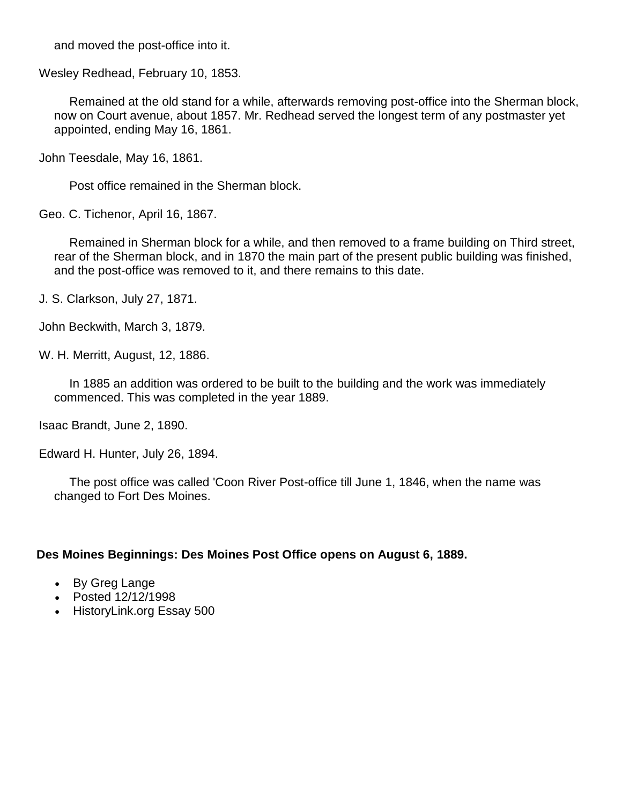and moved the post-office into it.

Wesley Redhead, February 10, 1853.

Remained at the old stand for a while, afterwards removing post-office into the Sherman block, now on Court avenue, about 1857. Mr. Redhead served the longest term of any postmaster yet appointed, ending May 16, 1861.

John Teesdale, May 16, 1861.

Post office remained in the Sherman block.

Geo. C. Tichenor, April 16, 1867.

Remained in Sherman block for a while, and then removed to a frame building on Third street, rear of the Sherman block, and in 1870 the main part of the present public building was finished, and the post-office was removed to it, and there remains to this date.

J. S. Clarkson, July 27, 1871.

John Beckwith, March 3, 1879.

W. H. Merritt, August, 12, 1886.

In 1885 an addition was ordered to be built to the building and the work was immediately commenced. This was completed in the year 1889.

Isaac Brandt, June 2, 1890.

Edward H. Hunter, July 26, 1894.

The post office was called 'Coon River Post-office till June 1, 1846, when the name was changed to Fort Des Moines.

## **Des Moines Beginnings: Des Moines Post Office opens on August 6, 1889.**

- By Greg Lange
- Posted 12/12/1998
- HistoryLink.org Essay 500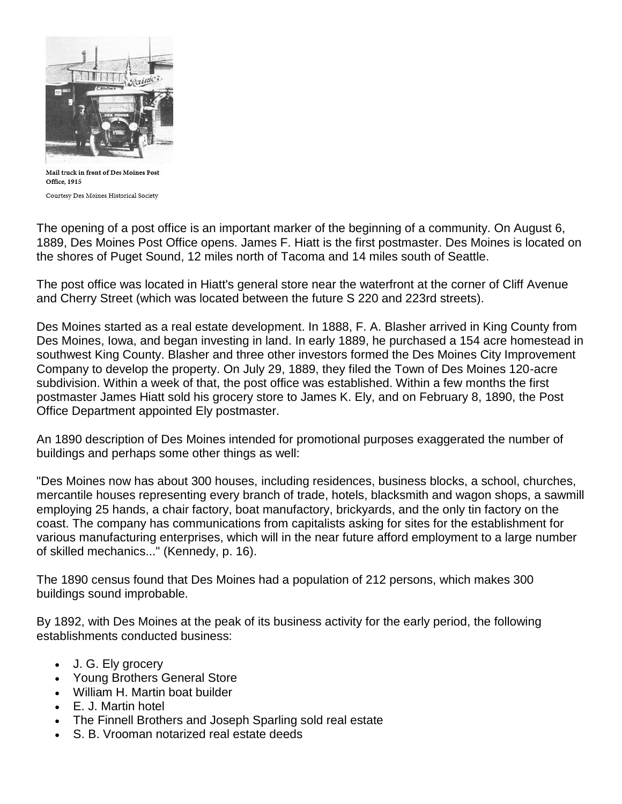

Mail truck in front of Des Moines Post Office, 1915 Courtesy Des Moines Historical Society

The opening of a post office is an important marker of the beginning of a community. On August 6, 1889, Des Moines Post Office opens. James F. Hiatt is the first postmaster. Des Moines is located on the shores of Puget Sound, 12 miles north of Tacoma and 14 miles south of Seattle.

The post office was located in Hiatt's general store near the waterfront at the corner of Cliff Avenue and Cherry Street (which was located between the future S 220 and 223rd streets).

Des Moines started as a real estate development. In 1888, F. A. Blasher arrived in King County from Des Moines, Iowa, and began investing in land. In early 1889, he purchased a 154 acre homestead in southwest King County. Blasher and three other investors formed the Des Moines City Improvement Company to develop the property. On July 29, 1889, they filed the Town of Des Moines 120-acre subdivision. Within a week of that, the post office was established. Within a few months the first postmaster James Hiatt sold his grocery store to James K. Ely, and on February 8, 1890, the Post Office Department appointed Ely postmaster.

An 1890 description of Des Moines intended for promotional purposes exaggerated the number of buildings and perhaps some other things as well:

"Des Moines now has about 300 houses, including residences, business blocks, a school, churches, mercantile houses representing every branch of trade, hotels, blacksmith and wagon shops, a sawmill employing 25 hands, a chair factory, boat manufactory, brickyards, and the only tin factory on the coast. The company has communications from capitalists asking for sites for the establishment for various manufacturing enterprises, which will in the near future afford employment to a large number of skilled mechanics..." (Kennedy, p. 16).

The 1890 census found that Des Moines had a population of 212 persons, which makes 300 buildings sound improbable.

By 1892, with Des Moines at the peak of its business activity for the early period, the following establishments conducted business:

- J. G. Ely grocery
- Young Brothers General Store
- William H. Martin boat builder
- E. J. Martin hotel
- The Finnell Brothers and Joseph Sparling sold real estate
- S. B. Vrooman notarized real estate deeds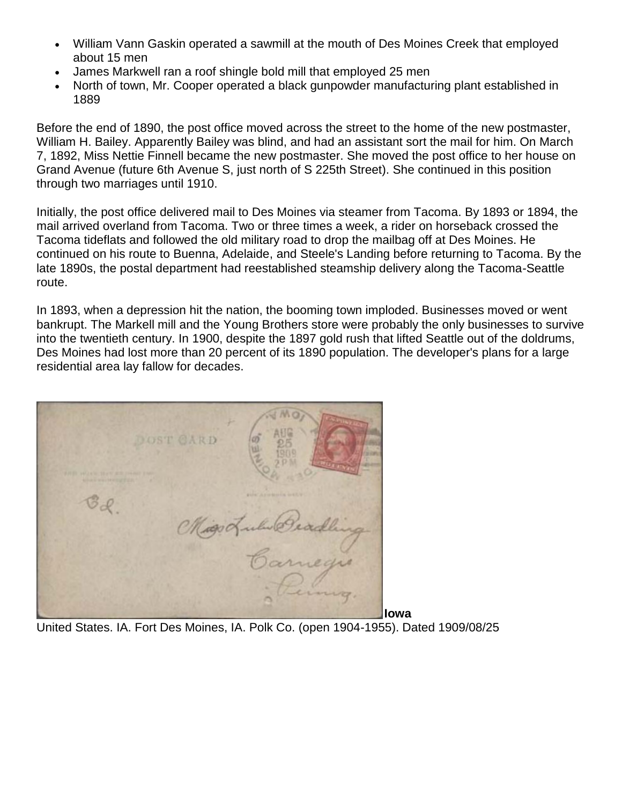- William Vann Gaskin operated a sawmill at the mouth of Des Moines Creek that employed about 15 men
- James Markwell ran a roof shingle bold mill that employed 25 men
- North of town, Mr. Cooper operated a black gunpowder manufacturing plant established in 1889

Before the end of 1890, the post office moved across the street to the home of the new postmaster, William H. Bailey. Apparently Bailey was blind, and had an assistant sort the mail for him. On March 7, 1892, Miss Nettie Finnell became the new postmaster. She moved the post office to her house on Grand Avenue (future 6th Avenue S, just north of S 225th Street). She continued in this position through two marriages until 1910.

Initially, the post office delivered mail to Des Moines via steamer from Tacoma. By 1893 or 1894, the mail arrived overland from Tacoma. Two or three times a week, a rider on horseback crossed the Tacoma tideflats and followed the old military road to drop the mailbag off at Des Moines. He continued on his route to Buenna, Adelaide, and Steele's Landing before returning to Tacoma. By the late 1890s, the postal department had reestablished steamship delivery along the Tacoma-Seattle route.

In 1893, when a depression hit the nation, the booming town imploded. Businesses moved or went bankrupt. The Markell mill and the Young Brothers store were probably the only businesses to survive into the twentieth century. In 1900, despite the 1897 gold rush that lifted Seattle out of the doldrums, Des Moines had lost more than 20 percent of its 1890 population. The developer's plans for a large residential area lay fallow for decades.

| DOST GARD<br><b>WILLIAM AND AND STATE ROLL FOR RIFLE TOWN</b><br>MORE MAYNETIZER !!<br>$\sim$ |      |
|-----------------------------------------------------------------------------------------------|------|
| guine Agreements, to 67.91<br>Migo Lulu Beadling                                              |      |
| megis<br>۰                                                                                    | lowa |

United States. IA. Fort Des Moines, IA. Polk Co. (open 1904-1955). Dated 1909/08/25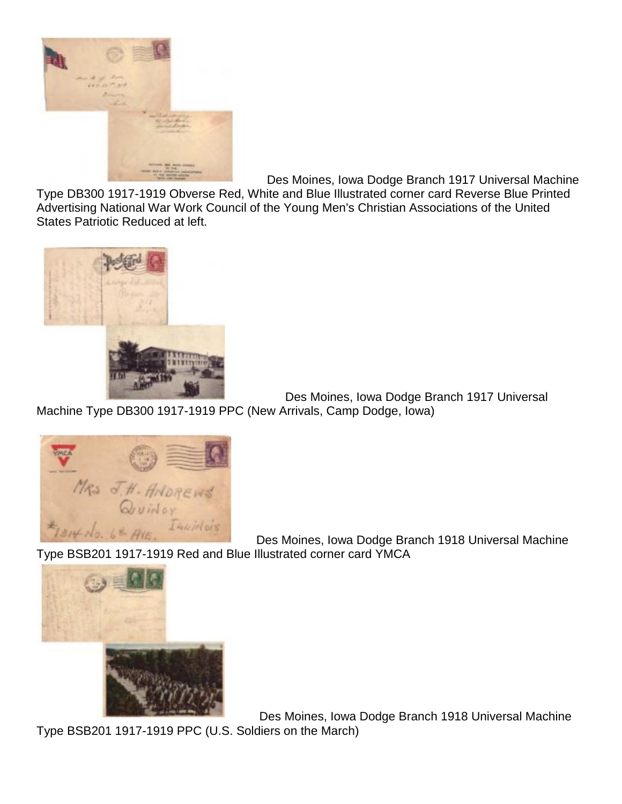

Des Moines, Iowa Dodge Branch 1917 Universal Machine

Type DB300 1917-1919 Obverse Red, White and Blue Illustrated corner card Reverse Blue Printed Advertising National War Work Council of the Young Men's Christian Associations of the United States Patriotic Reduced at left.



Des Moines, Iowa Dodge Branch 1917 Universal Machine Type DB300 1917-1919 PPC (New Arrivals, Camp Dodge, Iowa)



Des Moines, Iowa Dodge Branch 1918 Universal Machine Type BSB201 1917-1919 Red and Blue Illustrated corner card YMCA



Des Moines, Iowa Dodge Branch 1918 Universal Machine

Type BSB201 1917-1919 PPC (U.S. Soldiers on the March)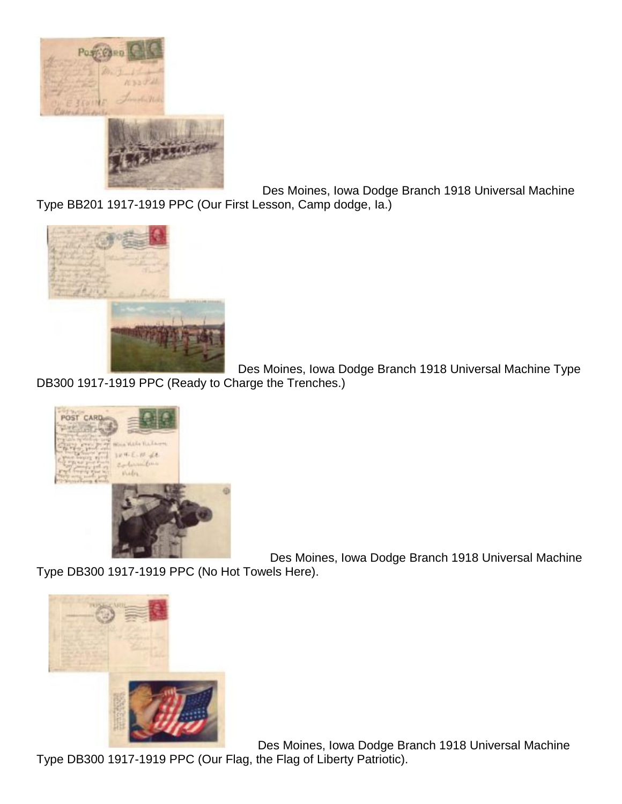

Des Moines, Iowa Dodge Branch 1918 Universal Machine Type BB201 1917-1919 PPC (Our First Lesson, Camp dodge, Ia.)



Des Moines, Iowa Dodge Branch 1918 Universal Machine Type DB300 1917-1919 PPC (Ready to Charge the Trenches.)



Des Moines, Iowa Dodge Branch 1918 Universal Machine

Type DB300 1917-1919 PPC (No Hot Towels Here).



Des Moines, Iowa Dodge Branch 1918 Universal Machine

Type DB300 1917-1919 PPC (Our Flag, the Flag of Liberty Patriotic).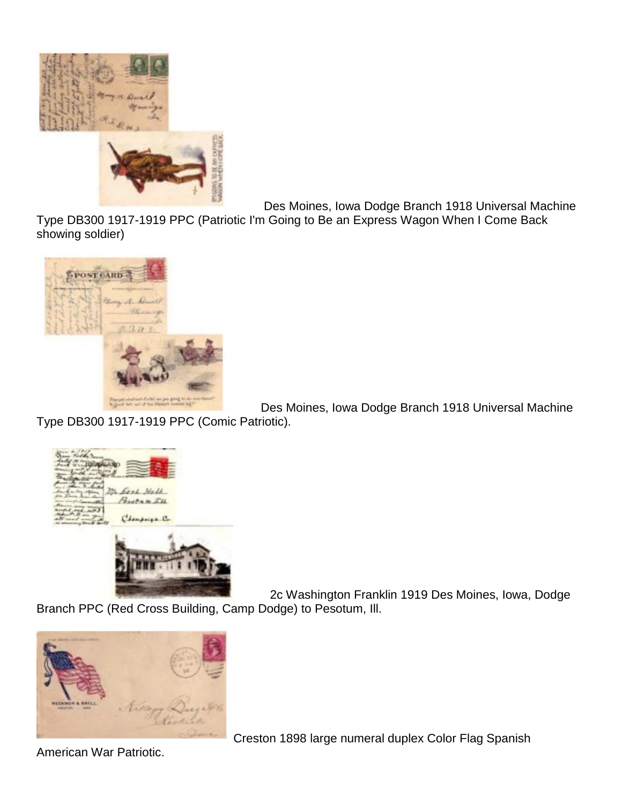

Des Moines, Iowa Dodge Branch 1918 Universal Machine

Type DB300 1917-1919 PPC (Patriotic I'm Going to Be an Express Wagon When I Come Back showing soldier)



Des Moines, Iowa Dodge Branch 1918 Universal Machine

Type DB300 1917-1919 PPC (Comic Patriotic).



2c Washington Franklin 1919 Des Moines, Iowa, Dodge

Branch PPC (Red Cross Building, Camp Dodge) to Pesotum, Ill.



Creston 1898 large numeral duplex Color Flag Spanish

American War Patriotic.